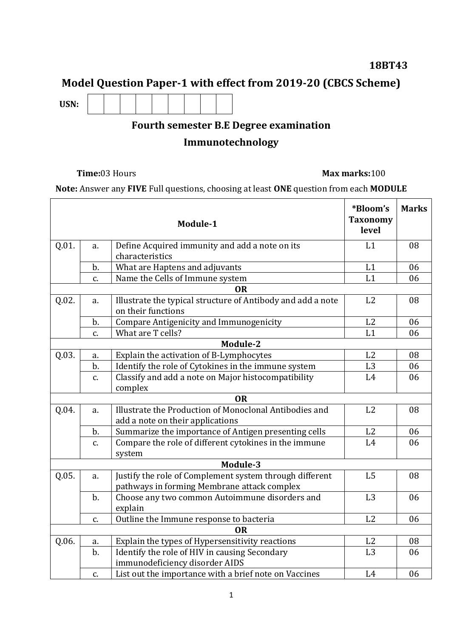### **18BT43**

## **Model Question Paper-1 with effect from 2019-20 (CBCS Scheme)**

**USN:**

# **Fourth semester B.E Degree examination**

## **Immunotechnology**

#### **Time:**03 Hours **Max marks:**100

**Note:** Answer any **FIVE** Full questions, choosing at least **ONE** question from each **MODULE**

|       |       | Module-1                                                                                               | *Bloom's<br><b>Taxonomy</b><br>level | <b>Marks</b> |
|-------|-------|--------------------------------------------------------------------------------------------------------|--------------------------------------|--------------|
| Q.01. | a.    | Define Acquired immunity and add a note on its                                                         | L1                                   | 08           |
|       |       | characteristics                                                                                        |                                      |              |
|       | b.    | What are Haptens and adjuvants                                                                         | L1                                   | 06           |
|       | c.    | Name the Cells of Immune system                                                                        | L1                                   | 06           |
|       |       | <b>OR</b>                                                                                              |                                      |              |
| Q.02. | a.    | Illustrate the typical structure of Antibody and add a note<br>on their functions                      | L2                                   | 08           |
|       | b.    | <b>Compare Antigenicity and Immunogenicity</b>                                                         | L2                                   | 06           |
|       | C.    | What are T cells?                                                                                      | L1                                   | 06           |
|       |       | Module-2                                                                                               |                                      |              |
| Q.03. | a.    | Explain the activation of B-Lymphocytes                                                                | L2                                   | 08           |
|       | $b$ . | Identify the role of Cytokines in the immune system                                                    | L <sub>3</sub>                       | 06           |
|       | c.    | Classify and add a note on Major histocompatibility<br>complex                                         | L4                                   | 06           |
|       |       | <b>OR</b>                                                                                              |                                      |              |
| Q.04. | a.    | Illustrate the Production of Monoclonal Antibodies and                                                 | L2                                   | 08           |
|       |       | add a note on their applications                                                                       |                                      |              |
|       | b.    | Summarize the importance of Antigen presenting cells                                                   | L2                                   | 06           |
|       | c.    | Compare the role of different cytokines in the immune                                                  | L4                                   | 06           |
|       |       | system                                                                                                 |                                      |              |
|       |       | Module-3                                                                                               |                                      |              |
| Q.05. | a.    | Justify the role of Complement system through different<br>pathways in forming Membrane attack complex | L <sub>5</sub>                       | 08           |
|       | $b$ . | Choose any two common Autoimmune disorders and                                                         | L3                                   | 06           |
|       |       | explain                                                                                                |                                      |              |
|       | c.    | Outline the Immune response to bacteria                                                                | L2                                   | 06           |
|       |       | <b>OR</b>                                                                                              |                                      |              |
| Q.06. | a.    | Explain the types of Hypersensitivity reactions                                                        | L <sub>2</sub>                       | 08           |
|       | $b$ . | Identify the role of HIV in causing Secondary                                                          | L <sub>3</sub>                       | 06           |
|       |       | immunodeficiency disorder AIDS                                                                         |                                      |              |
|       | C.    | List out the importance with a brief note on Vaccines                                                  | L4                                   | 06           |